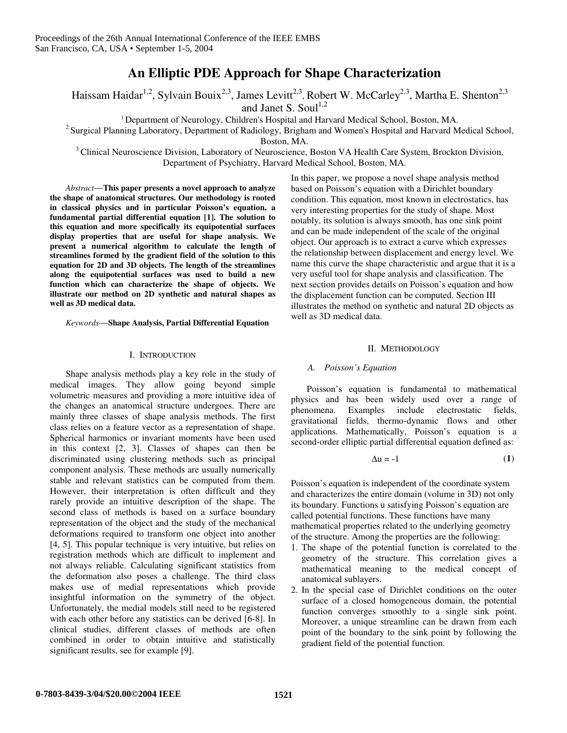# **An Elliptic PDE Approach for Shape Characterization**

Haissam Haidar<sup>1,2</sup>, Sylvain Bouix<sup>2,3</sup>, James Levitt<sup>2,3</sup>, Robert W. McCarley<sup>2,3</sup>, Martha E. Shenton<sup>2,3</sup>

and Janet S. Soul<sup>1,2</sup>

<sup>1</sup> Department of Neurology, Children's Hospital and Harvard Medical School, Boston, MA.

 $2$  Surgical Planning Laboratory, Department of Radiology, Brigham and Women's Hospital and Harvard Medical School,

Boston, MA.

<sup>3</sup> Clinical Neuroscience Division, Laboratory of Neuroscience, Boston VA Health Care System, Brockton Division, Department of Psychiatry, Harvard Medical School, Boston, MA.

*Abstract*—**This paper presents a novel approach to analyze the shape of anatomical structures. Our methodology is rooted in classical physics and in particular Poisson's equation, a fundamental partial differential equation [1]. The solution to this equation and more specifically its equipotential surfaces display properties that are useful for shape analysis. We present a numerical algorithm to calculate the length of streamlines formed by the gradient field of the solution to this equation for 2D and 3D objects. The length of the streamlines along the equipotential surfaces was used to build a new function which can characterize the shape of objects. We illustrate our method on 2D synthetic and natural shapes as well as 3D medical data.**

*Keywords*—**Shape Analysis, Partial Differential Equation**

## I. INTRODUCTION

Shape analysis methods play a key role in the study of medical images. They allow going beyond simple volumetric measures and providing a more intuitive idea of the changes an anatomical structure undergoes. There are mainly three classes of shape analysis methods. The first class relies on a feature vector as a representation of shape. Spherical harmonics or invariant moments have been used in this context [2, 3]. Classes of shapes can then be discriminated using clustering methods such as principal component analysis. These methods are usually numerically stable and relevant statistics can be computed from them. However, their interpretation is often difficult and they rarely provide an intuitive description of the shape. The second class of methods is based on a surface boundary representation of the object and the study of the mechanical deformations required to transform one object into another [4, 5]. This popular technique is very intuitive, but relies on registration methods which are difficult to implement and not always reliable. Calculating significant statistics from the deformation also poses a challenge. The third class makes use of medial representations which provide insightful information on the symmetry of the object. Unfortunately, the medial models still need to be registered with each other before any statistics can be derived [6-8]. In clinical studies, different classes of methods are often combined in order to obtain intuitive and statistically significant results, see for example [9].

In this paper, we propose a novel shape analysis method based on Poisson's equation with a Dirichlet boundary condition. This equation, most known in electrostatics, has very interesting properties for the study of shape. Most notably, its solution is always smooth, has one sink point and can be made independent of the scale of the original object. Our approach is to extract a curve which expresses the relationship between displacement and energy level. We name this curve the shape characteristic and argue that it is a very useful tool for shape analysis and classification. The next section provides details on Poisson's equation and how the displacement function can be computed. Section III illustrates the method on synthetic and natural 2D objects as well as 3D medical data.

# II. METHODOLOGY

# *A. Poisson's Equation*

Poisson's equation is fundamental to mathematical physics and has been widely used over a range of phenomena. Examples include electrostatic fields, gravitational fields, thermo-dynamic flows and other applications. Mathematically, Poisson's equation is a second-order elliptic partial differential equation defined as:

$$
\Delta u = -1 \tag{1}
$$

Poisson's equation is independent of the coordinate system and characterizes the entire domain (volume in 3D) not only its boundary. Functions u satisfying Poisson's equation are called potential functions. These functions have many mathematical properties related to the underlying geometry of the structure. Among the properties are the following:

- 1. The shape of the potential function is correlated to the geometry of the structure. This correlation gives a mathematical meaning to the medical concept of anatomical sublayers.
- 2. In the special case of Dirichlet conditions on the outer surface of a closed homogeneous domain, the potential function converges smoothly to a single sink point. Moreover, a unique streamline can be drawn from each point of the boundary to the sink point by following the gradient field of the potential function.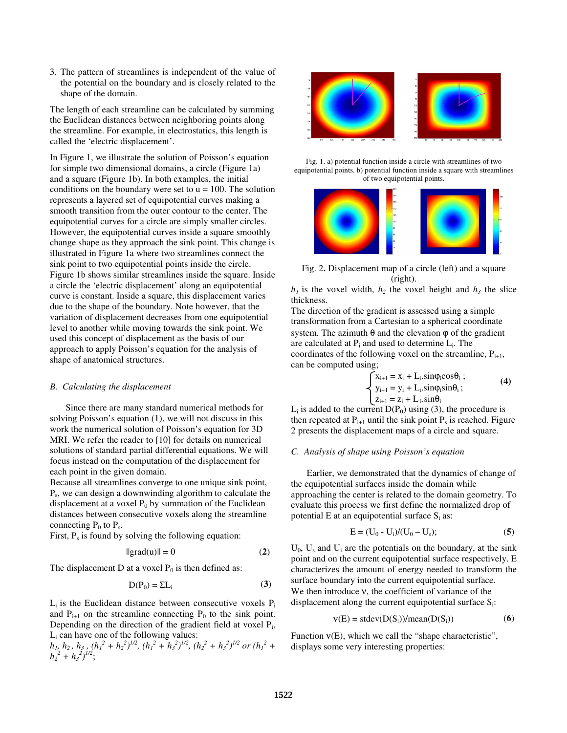3. The pattern of streamlines is independent of the value of the potential on the boundary and is closely related to the shape of the domain.

The length of each streamline can be calculated by summing the Euclidean distances between neighboring points along the streamline. For example, in electrostatics, this length is called the 'electric displacement'.

In Figure 1, we illustrate the solution of Poisson's equation for simple two dimensional domains, a circle (Figure 1a) and a square (Figure 1b). In both examples, the initial conditions on the boundary were set to  $u = 100$ . The solution represents a layered set of equipotential curves making a smooth transition from the outer contour to the center. The equipotential curves for a circle are simply smaller circles. However, the equipotential curves inside a square smoothly change shape as they approach the sink point. This change is illustrated in Figure 1a where two streamlines connect the sink point to two equipotential points inside the circle. Figure 1b shows similar streamlines inside the square. Inside a circle the 'electric displacement' along an equipotential curve is constant. Inside a square, this displacement varies due to the shape of the boundary. Note however, that the variation of displacement decreases from one equipotential level to another while moving towards the sink point. We used this concept of displacement as the basis of our approach to apply Poisson's equation for the analysis of shape of anatomical structures.

#### *B. Calculating the displacement*

Since there are many standard numerical methods for solving Poisson's equation (1), we will not discuss in this work the numerical solution of Poisson's equation for 3D MRI. We refer the reader to [10] for details on numerical solutions of standard partial differential equations. We will focus instead on the computation of the displacement for each point in the given domain.

Because all streamlines converge to one unique sink point, Ps , we can design a downwinding algorithm to calculate the displacement at a voxel  $P_0$  by summation of the Euclidean distances between consecutive voxels along the streamline connecting  $P_0$  to  $P_s$ .

First,  $P_s$  is found by solving the following equation:

$$
||grad(u)|| = 0 \tag{2}
$$

The displacement D at a voxel  $P_0$  is then defined as:

$$
D(P_0) = \Sigma L_i \tag{3}
$$

 $L_i$  is the Euclidean distance between consecutive voxels  $P_i$ and  $P_{i+1}$  on the streamline connecting  $P_0$  to the sink point. Depending on the direction of the gradient field at voxel P<sub>i</sub>, L<sup>i</sup> can have one of the following values:

 $h_1, h_2, h_3, (h_1^2 + h_2^2)^{1/2}, (h_1^2 + h_3^2)^{1/2}, (h_2^2 + h_3^2)^{1/2}$  or  $(h_1^2 + h_2^2)$  $h_2^2 + h_3^2$ <sup> $1/2$ </sup>;



Fig. 1. a) potential function inside a circle with streamlines of two equipotential points. b) potential function inside a square with streamlines of two equipotential points.



Fig. 2**.** Displacement map of a circle (left) and a square (right).

 $h_1$  is the voxel width,  $h_2$  the voxel height and  $h_3$  the slice thickness.

The direction of the gradient is assessed using a simple transformation from a Cartesian to a spherical coordinate system. The azimuth  $\theta$  and the elevation  $\varphi$  of the gradient are calculated at  $P_i$  and used to determine  $L_i$ . The coordinates of the following voxel on the streamline,  $P_{i+1}$ , can be computed using;

$$
\begin{cases}\nx_{i+1} = x_i + L_i \cdot \sin\varphi_i \cos\theta_i; \ny_{i+1} = y_i + L_i \cdot \sin\varphi_i \sin\theta_i; \nz_{i+1} = z_i + L_i \cdot \sin\theta_i\n\end{cases}
$$
\n(4)

 $L_i$  is added to the current  $D(P_0)$  using (3), the procedure is then repeated at  $P_{i+1}$  until the sink point  $P_s$  is reached. Figure 2 presents the displacement maps of a circle and square.

## *C. Analysis of shape using Poisson's equation*

Earlier, we demonstrated that the dynamics of change of the equipotential surfaces inside the domain while approaching the center is related to the domain geometry. To evaluate this process we first define the normalized drop of potential E at an equipotential surface  $S_i$  as:

$$
E = (U_0 - U_i)/(U_0 - U_s); \tag{5}
$$

 $U_0$ ,  $U_s$  and  $U_i$  are the potentials on the boundary, at the sink point and on the current equipotential surface respectively. E characterizes the amount of energy needed to transform the surface boundary into the current equipotential surface. We then introduce ν, the coefficient of variance of the displacement along the current equipotential surface  $S_i$ :

$$
v(E) = stdev(D(Si))/mean(D(Si))
$$
 (6)

Function  $v(E)$ , which we call the "shape characteristic", displays some very interesting properties: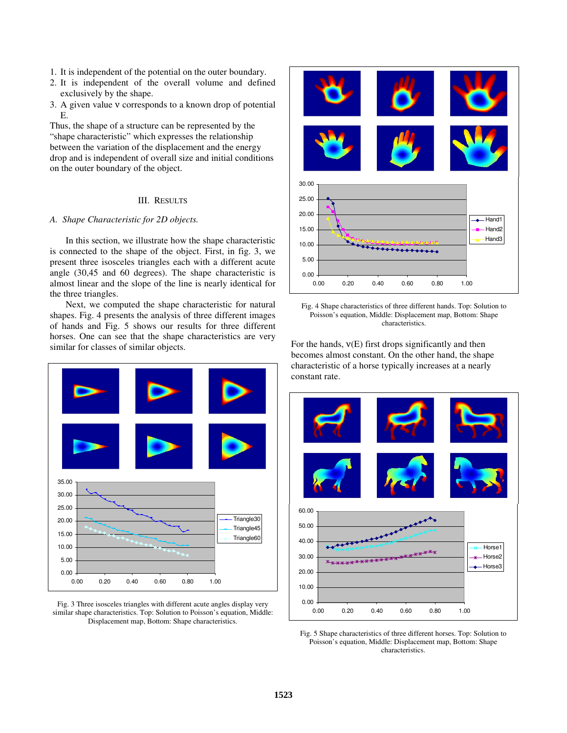- 1. It is independent of the potential on the outer boundary.
- 2. It is independent of the overall volume and defined exclusively by the shape.
- 3. A given value ν corresponds to a known drop of potential E.

Thus, the shape of a structure can be represented by the "shape characteristic" which expresses the relationship between the variation of the displacement and the energy drop and is independent of overall size and initial conditions on the outer boundary of the object.

#### III. RESULTS

# *A. Shape Characteristic for 2D objects.*

In this section, we illustrate how the shape characteristic is connected to the shape of the object. First, in fig. 3, we present three isosceles triangles each with a different acute angle (30,45 and 60 degrees). The shape characteristic is almost linear and the slope of the line is nearly identical for the three triangles.

Next, we computed the shape characteristic for natural shapes. Fig. 4 presents the analysis of three different images of hands and Fig. 5 shows our results for three different horses. One can see that the shape characteristics are very similar for classes of similar objects.



Fig. 3 Three isosceles triangles with different acute angles display very similar shape characteristics. Top: Solution to Poisson's equation, Middle: Displacement map, Bottom: Shape characteristics.





For the hands,  $v(E)$  first drops significantly and then becomes almost constant. On the other hand, the shape characteristic of a horse typically increases at a nearly constant rate.



Fig. 5 Shape characteristics of three different horses. Top: Solution to Poisson's equation, Middle: Displacement map, Bottom: Shape characteristics.